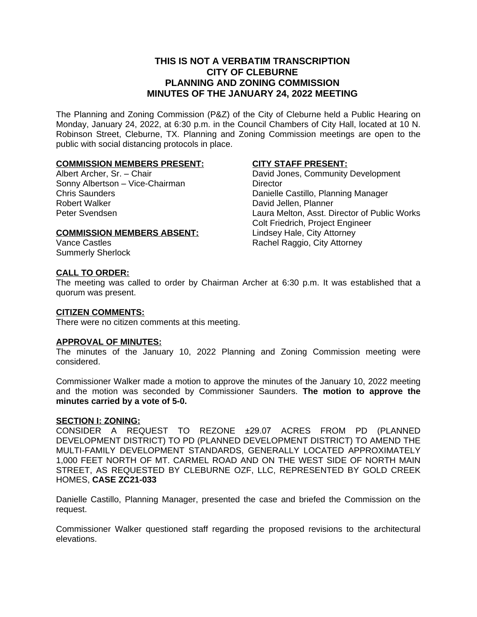# **THIS IS NOT A VERBATIM TRANSCRIPTION CITY OF CLEBURNE PLANNING AND ZONING COMMISSION MINUTES OF THE JANUARY 24, 2022 MEETING**

The Planning and Zoning Commission (P&Z) of the City of Cleburne held a Public Hearing on Monday, January 24, 2022, at 6:30 p.m. in the Council Chambers of City Hall, located at 10 N. Robinson Street, Cleburne, TX. Planning and Zoning Commission meetings are open to the public with social distancing protocols in place.

# **COMMISSION MEMBERS PRESENT:**

Albert Archer, Sr. – Chair Sonny Albertson – Vice-Chairman Chris Saunders Robert Walker Peter Svendsen

#### **CITY STAFF PRESENT:**

David Jones, Community Development **Director** Danielle Castillo, Planning Manager David Jellen, Planner Laura Melton, Asst. Director of Public Works Colt Friedrich, Project Engineer Lindsey Hale, City Attorney Rachel Raggio, City Attorney

# **COMMISSION MEMBERS ABSENT:**

Vance Castles Summerly Sherlock

# **CALL TO ORDER:**

The meeting was called to order by Chairman Archer at 6:30 p.m. It was established that a quorum was present.

### **CITIZEN COMMENTS:**

There were no citizen comments at this meeting.

#### **APPROVAL OF MINUTES:**

The minutes of the January 10, 2022 Planning and Zoning Commission meeting were considered.

Commissioner Walker made a motion to approve the minutes of the January 10, 2022 meeting and the motion was seconded by Commissioner Saunders. **The motion to approve the minutes carried by a vote of 5-0.**

#### **SECTION I: ZONING:**

CONSIDER A REQUEST TO REZONE ±29.07 ACRES FROM PD (PLANNED DEVELOPMENT DISTRICT) TO PD (PLANNED DEVELOPMENT DISTRICT) TO AMEND THE MULTI-FAMILY DEVELOPMENT STANDARDS, GENERALLY LOCATED APPROXIMATELY 1,000 FEET NORTH OF MT. CARMEL ROAD AND ON THE WEST SIDE OF NORTH MAIN STREET, AS REQUESTED BY CLEBURNE OZF, LLC, REPRESENTED BY GOLD CREEK HOMES, **CASE ZC21-033**

Danielle Castillo, Planning Manager, presented the case and briefed the Commission on the request.

Commissioner Walker questioned staff regarding the proposed revisions to the architectural elevations.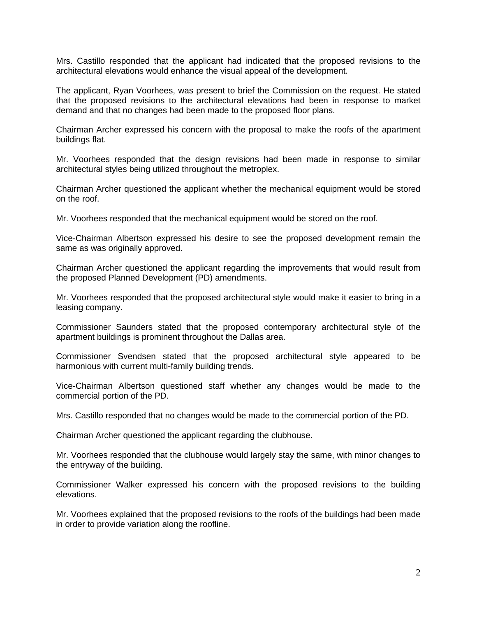Mrs. Castillo responded that the applicant had indicated that the proposed revisions to the architectural elevations would enhance the visual appeal of the development.

The applicant, Ryan Voorhees, was present to brief the Commission on the request. He stated that the proposed revisions to the architectural elevations had been in response to market demand and that no changes had been made to the proposed floor plans.

Chairman Archer expressed his concern with the proposal to make the roofs of the apartment buildings flat.

Mr. Voorhees responded that the design revisions had been made in response to similar architectural styles being utilized throughout the metroplex.

Chairman Archer questioned the applicant whether the mechanical equipment would be stored on the roof.

Mr. Voorhees responded that the mechanical equipment would be stored on the roof.

Vice-Chairman Albertson expressed his desire to see the proposed development remain the same as was originally approved.

Chairman Archer questioned the applicant regarding the improvements that would result from the proposed Planned Development (PD) amendments.

Mr. Voorhees responded that the proposed architectural style would make it easier to bring in a leasing company.

Commissioner Saunders stated that the proposed contemporary architectural style of the apartment buildings is prominent throughout the Dallas area.

Commissioner Svendsen stated that the proposed architectural style appeared to be harmonious with current multi-family building trends.

Vice-Chairman Albertson questioned staff whether any changes would be made to the commercial portion of the PD.

Mrs. Castillo responded that no changes would be made to the commercial portion of the PD.

Chairman Archer questioned the applicant regarding the clubhouse.

Mr. Voorhees responded that the clubhouse would largely stay the same, with minor changes to the entryway of the building.

Commissioner Walker expressed his concern with the proposed revisions to the building elevations.

Mr. Voorhees explained that the proposed revisions to the roofs of the buildings had been made in order to provide variation along the roofline.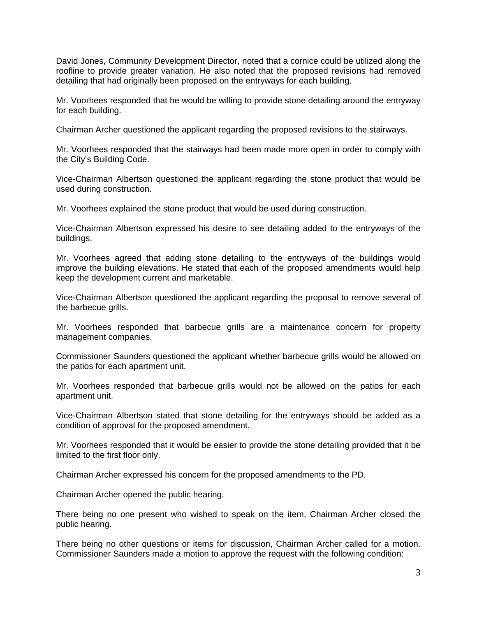David Jones, Community Development Director, noted that a cornice could be utilized along the roofline to provide greater variation. He also noted that the proposed revisions had removed detailing that had originally been proposed on the entryways for each building.

Mr. Voorhees responded that he would be willing to provide stone detailing around the entryway for each building.

Chairman Archer questioned the applicant regarding the proposed revisions to the stairways.

Mr. Voorhees responded that the stairways had been made more open in order to comply with the City's Building Code.

Vice-Chairman Albertson questioned the applicant regarding the stone product that would be used during construction.

Mr. Voorhees explained the stone product that would be used during construction.

Vice-Chairman Albertson expressed his desire to see detailing added to the entryways of the buildings.

Mr. Voorhees agreed that adding stone detailing to the entryways of the buildings would improve the building elevations. He stated that each of the proposed amendments would help keep the development current and marketable.

Vice-Chairman Albertson questioned the applicant regarding the proposal to remove several of the barbecue grills.

Mr. Voorhees responded that barbecue grills are a maintenance concern for property management companies.

Commissioner Saunders questioned the applicant whether barbecue grills would be allowed on the patios for each apartment unit.

Mr. Voorhees responded that barbecue grills would not be allowed on the patios for each apartment unit.

Vice-Chairman Albertson stated that stone detailing for the entryways should be added as a condition of approval for the proposed amendment.

Mr. Voorhees responded that it would be easier to provide the stone detailing provided that it be limited to the first floor only.

Chairman Archer expressed his concern for the proposed amendments to the PD.

Chairman Archer opened the public hearing.

There being no one present who wished to speak on the item, Chairman Archer closed the public hearing.

There being no other questions or items for discussion, Chairman Archer called for a motion. Commissioner Saunders made a motion to approve the request with the following condition: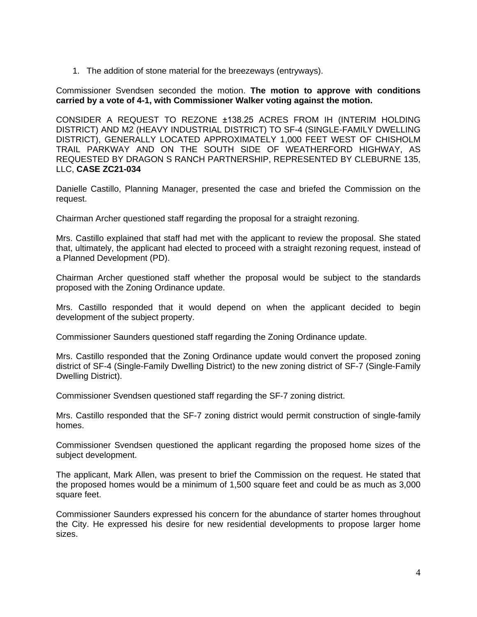1. The addition of stone material for the breezeways (entryways).

Commissioner Svendsen seconded the motion. **The motion to approve with conditions carried by a vote of 4-1, with Commissioner Walker voting against the motion.**

CONSIDER A REQUEST TO REZONE ±138.25 ACRES FROM IH (INTERIM HOLDING DISTRICT) AND M2 (HEAVY INDUSTRIAL DISTRICT) TO SF-4 (SINGLE-FAMILY DWELLING DISTRICT), GENERALLY LOCATED APPROXIMATELY 1,000 FEET WEST OF CHISHOLM TRAIL PARKWAY AND ON THE SOUTH SIDE OF WEATHERFORD HIGHWAY, AS REQUESTED BY DRAGON S RANCH PARTNERSHIP, REPRESENTED BY CLEBURNE 135, LLC, **CASE ZC21-034**

Danielle Castillo, Planning Manager, presented the case and briefed the Commission on the request.

Chairman Archer questioned staff regarding the proposal for a straight rezoning.

Mrs. Castillo explained that staff had met with the applicant to review the proposal. She stated that, ultimately, the applicant had elected to proceed with a straight rezoning request, instead of a Planned Development (PD).

Chairman Archer questioned staff whether the proposal would be subject to the standards proposed with the Zoning Ordinance update.

Mrs. Castillo responded that it would depend on when the applicant decided to begin development of the subject property.

Commissioner Saunders questioned staff regarding the Zoning Ordinance update.

Mrs. Castillo responded that the Zoning Ordinance update would convert the proposed zoning district of SF-4 (Single-Family Dwelling District) to the new zoning district of SF-7 (Single-Family Dwelling District).

Commissioner Svendsen questioned staff regarding the SF-7 zoning district.

Mrs. Castillo responded that the SF-7 zoning district would permit construction of single-family homes.

Commissioner Svendsen questioned the applicant regarding the proposed home sizes of the subject development.

The applicant, Mark Allen, was present to brief the Commission on the request. He stated that the proposed homes would be a minimum of 1,500 square feet and could be as much as 3,000 square feet.

Commissioner Saunders expressed his concern for the abundance of starter homes throughout the City. He expressed his desire for new residential developments to propose larger home sizes.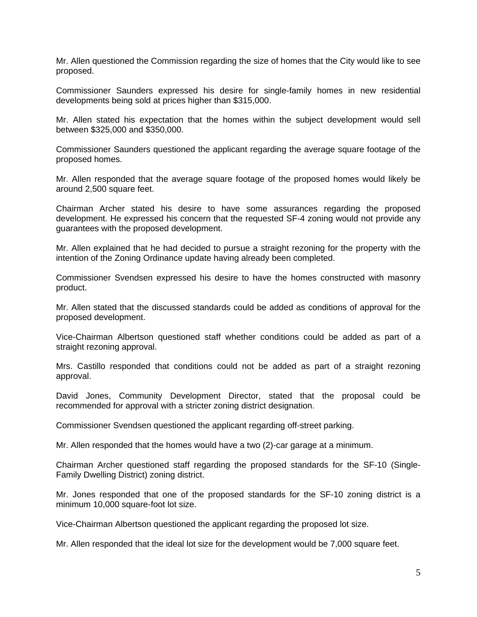Mr. Allen questioned the Commission regarding the size of homes that the City would like to see proposed.

Commissioner Saunders expressed his desire for single-family homes in new residential developments being sold at prices higher than \$315,000.

Mr. Allen stated his expectation that the homes within the subject development would sell between \$325,000 and \$350,000.

Commissioner Saunders questioned the applicant regarding the average square footage of the proposed homes.

Mr. Allen responded that the average square footage of the proposed homes would likely be around 2,500 square feet.

Chairman Archer stated his desire to have some assurances regarding the proposed development. He expressed his concern that the requested SF-4 zoning would not provide any guarantees with the proposed development.

Mr. Allen explained that he had decided to pursue a straight rezoning for the property with the intention of the Zoning Ordinance update having already been completed.

Commissioner Svendsen expressed his desire to have the homes constructed with masonry product.

Mr. Allen stated that the discussed standards could be added as conditions of approval for the proposed development.

Vice-Chairman Albertson questioned staff whether conditions could be added as part of a straight rezoning approval.

Mrs. Castillo responded that conditions could not be added as part of a straight rezoning approval.

David Jones, Community Development Director, stated that the proposal could be recommended for approval with a stricter zoning district designation.

Commissioner Svendsen questioned the applicant regarding off-street parking.

Mr. Allen responded that the homes would have a two (2)-car garage at a minimum.

Chairman Archer questioned staff regarding the proposed standards for the SF-10 (Single-Family Dwelling District) zoning district.

Mr. Jones responded that one of the proposed standards for the SF-10 zoning district is a minimum 10,000 square-foot lot size.

Vice-Chairman Albertson questioned the applicant regarding the proposed lot size.

Mr. Allen responded that the ideal lot size for the development would be 7,000 square feet.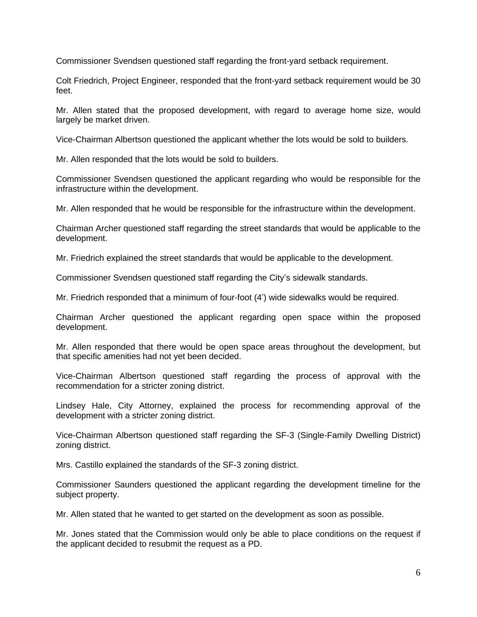Commissioner Svendsen questioned staff regarding the front-yard setback requirement.

Colt Friedrich, Project Engineer, responded that the front-yard setback requirement would be 30 feet.

Mr. Allen stated that the proposed development, with regard to average home size, would largely be market driven.

Vice-Chairman Albertson questioned the applicant whether the lots would be sold to builders.

Mr. Allen responded that the lots would be sold to builders.

Commissioner Svendsen questioned the applicant regarding who would be responsible for the infrastructure within the development.

Mr. Allen responded that he would be responsible for the infrastructure within the development.

Chairman Archer questioned staff regarding the street standards that would be applicable to the development.

Mr. Friedrich explained the street standards that would be applicable to the development.

Commissioner Svendsen questioned staff regarding the City's sidewalk standards.

Mr. Friedrich responded that a minimum of four-foot (4') wide sidewalks would be required.

Chairman Archer questioned the applicant regarding open space within the proposed development.

Mr. Allen responded that there would be open space areas throughout the development, but that specific amenities had not yet been decided.

Vice-Chairman Albertson questioned staff regarding the process of approval with the recommendation for a stricter zoning district.

Lindsey Hale, City Attorney, explained the process for recommending approval of the development with a stricter zoning district.

Vice-Chairman Albertson questioned staff regarding the SF-3 (Single-Family Dwelling District) zoning district.

Mrs. Castillo explained the standards of the SF-3 zoning district.

Commissioner Saunders questioned the applicant regarding the development timeline for the subject property.

Mr. Allen stated that he wanted to get started on the development as soon as possible.

Mr. Jones stated that the Commission would only be able to place conditions on the request if the applicant decided to resubmit the request as a PD.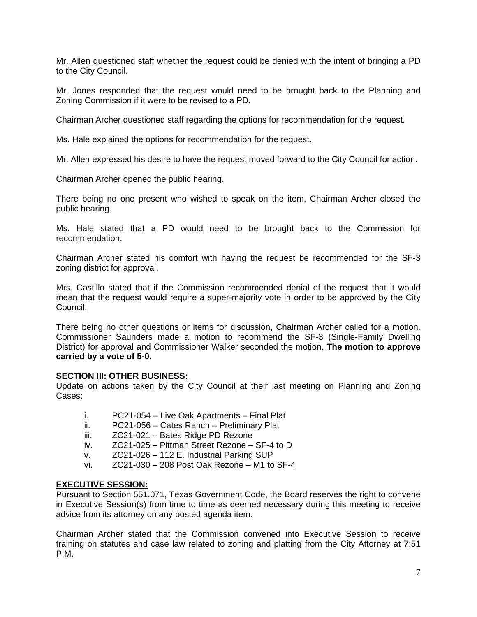Mr. Allen questioned staff whether the request could be denied with the intent of bringing a PD to the City Council.

Mr. Jones responded that the request would need to be brought back to the Planning and Zoning Commission if it were to be revised to a PD.

Chairman Archer questioned staff regarding the options for recommendation for the request.

Ms. Hale explained the options for recommendation for the request.

Mr. Allen expressed his desire to have the request moved forward to the City Council for action.

Chairman Archer opened the public hearing.

There being no one present who wished to speak on the item, Chairman Archer closed the public hearing.

Ms. Hale stated that a PD would need to be brought back to the Commission for recommendation.

Chairman Archer stated his comfort with having the request be recommended for the SF-3 zoning district for approval.

Mrs. Castillo stated that if the Commission recommended denial of the request that it would mean that the request would require a super-majority vote in order to be approved by the City Council.

There being no other questions or items for discussion, Chairman Archer called for a motion. Commissioner Saunders made a motion to recommend the SF-3 (Single-Family Dwelling District) for approval and Commissioner Walker seconded the motion. **The motion to approve carried by a vote of 5-0.**

#### **SECTION III: OTHER BUSINESS:**

Update on actions taken by the City Council at their last meeting on Planning and Zoning Cases:

- i. PC21-054 Live Oak Apartments Final Plat
- ii. PC21-056 Cates Ranch Preliminary Plat
- iii. ZC21-021 Bates Ridge PD Rezone
- iv. ZC21-025 Pittman Street Rezone SF-4 to D
- v. ZC21-026 112 E. Industrial Parking SUP
- vi. ZC21-030 208 Post Oak Rezone M1 to SF-4

# **EXECUTIVE SESSION:**

Pursuant to Section 551.071, Texas Government Code, the Board reserves the right to convene in Executive Session(s) from time to time as deemed necessary during this meeting to receive advice from its attorney on any posted agenda item.

Chairman Archer stated that the Commission convened into Executive Session to receive training on statutes and case law related to zoning and platting from the City Attorney at 7:51 P.M.